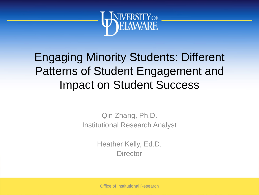

## Engaging Minority Students: Different Patterns of Student Engagement and Impact on Student Success

Qin Zhang, Ph.D. Institutional Research Analyst

> Heather Kelly, Ed.D. **Director**

Office of Institutional Research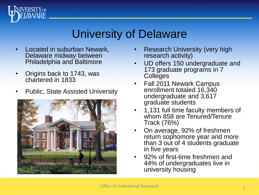

#### University of Delaware

- Located in suburban Newark, Delaware midway between Philadelphia and Baltimore
- Origins back to 1743, was chartered in 1833
- Public, State Assisted University



- **Research University (very high** research activity)
- UD offers 150 undergraduate and 173 graduate programs in 7 **Colleges**
- Fall 2011 Newark Campus enrollment totaled 16,340 undergraduate and 3,617 graduate students
- 1,131 full time faculty members of whom 858 are Tenured/Tenure Track (76%)
- On average, 92% of freshmen return sophomore year and more than 3 out of 4 students graduate in five years
- 92% of first-time freshmen and 44% of undergraduates live in university housing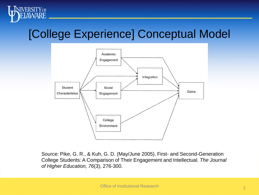

## [College Experience] Conceptual Model



Source: Pike, G. R., & Kuh, G. D. (May/June 2005). First- and Second-Generation College Students: A Comparison of Their Engagement and Intellectual. *The Journal of Higher Education, 76*(3), 276-300.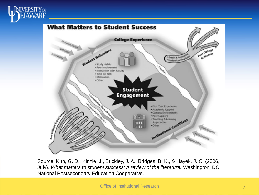



Source: Kuh, G. D., Kinzie, J., Buckley, J. A., Bridges, B. K., & Hayek, J. C. (2006, July). *What matters to student success: A review of the literature.* Washington, DC: National Postsecondary Education Cooperative.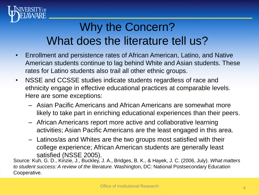

# Why the Concern? What does the literature tell us?

- Enrollment and persistence rates of African American, Latino, and Native American students continue to lag behind White and Asian students. These rates for Latino students also trail all other ethnic groups.
- NSSE and CCSSE studies indicate students regardless of race and ethnicity engage in effective educational practices at comparable levels. Here are some exceptions:
	- Asian Pacific Americans and African Americans are somewhat more likely to take part in enriching educational experiences than their peers.
	- African Americans report more active and collaborative learning activities; Asian Pacific Americans are the least engaged in this area.
	- Latinos/as and Whites are the two groups most satisfied with their college experience; African American students are generally least satisfied (NSSE 2005).

Source: Kuh, G. D., Kinzie, J., Buckley, J. A., Bridges, B. K., & Hayek, J. C. (2006, July). *What matters to student success: A review of the literature.* Washington, DC: National Postsecondary Education Cooperative.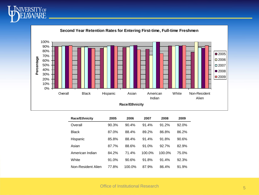



| <b>Race/Ethnicity</b> | 2005  | 2006<br>2007 |        | 2008   | 2009  |
|-----------------------|-------|--------------|--------|--------|-------|
| Overall               | 90.3% | 90.4%        | 91.4%  | 91.2%  | 92.0% |
| <b>Black</b>          | 87.0% | 88.4%        | 89.2%  | 86.8%  | 86.2% |
| Hispanic              | 85.8% | 88.4%        | 91.4%  | 91.8%  | 90.6% |
| Asian                 | 87.7% | 88.6%        | 91.0%  | 92.7%  | 82.9% |
| American Indian       | 84.2% | 71.4%        | 100.0% | 100.0% | 75.0% |
| White                 | 91.0% | 90.6%        | 91.8%  | 91.4%  | 92.3% |
| Non-Resident Alien    | 77.8% | 100.0%       | 87.9%  | 86.4%  | 91.9% |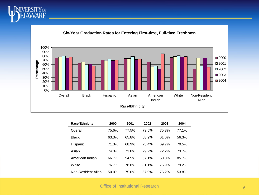



| <b>Race/Ethnicity</b> | 2000  | 2001  | 2002  | 2003  | 2004  |
|-----------------------|-------|-------|-------|-------|-------|
| Overall               | 75.6% | 77.5% | 79.5% | 75.3% | 77.1% |
| <b>Black</b>          | 63.3% | 65.8% | 58.9% | 61.6% | 56.3% |
| Hispanic              | 71.3% | 68.9% | 73.4% | 69.7% | 70.5% |
| Asian                 | 74.3% | 73.8% | 79.2% | 72.2% | 73.7% |
| American Indian       | 66.7% | 54.5% | 57.1% | 50.0% | 85.7% |
| White                 | 76.7% | 78.8% | 81.1% | 76.9% | 79.2% |
| Non-Resident Alien    | 50.0% | 75.0% | 57.9% | 76.2% | 53.8% |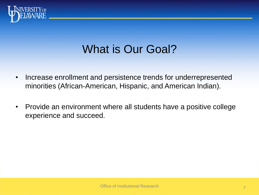

## What is Our Goal?

- Increase enrollment and persistence trends for underrepresented minorities (African-American, Hispanic, and American Indian).
- Provide an environment where all students have a positive college experience and succeed.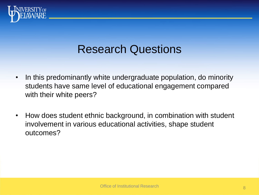

#### Research Questions

- In this predominantly white undergraduate population, do minority students have same level of educational engagement compared with their white peers?
- How does student ethnic background, in combination with student involvement in various educational activities, shape student outcomes?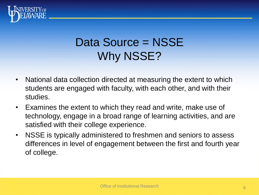

# Data Source = NSSE Why NSSE?

- National data collection directed at measuring the extent to which students are engaged with faculty, with each other, and with their studies.
- Examines the extent to which they read and write, make use of technology, engage in a broad range of learning activities, and are satisfied with their college experience.
- NSSE is typically administered to freshmen and seniors to assess differences in level of engagement between the first and fourth year of college.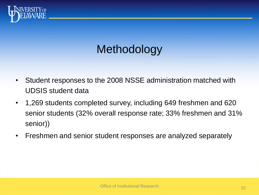

# **Methodology**

- Student responses to the 2008 NSSE administration matched with UDSIS student data
- 1,269 students completed survey, including 649 freshmen and 620 senior students (32% overall response rate; 33% freshmen and 31% senior))
- Freshmen and senior student responses are analyzed separately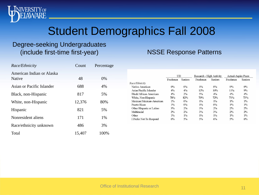#### Student Demographics Fall 2008

#### Degree-seeking Undergraduates (include first-time first-year)

**ERSITY** OF WARE

#### *Race/Ethnicity* Count Percentage American Indian or Alaska Native 48 0% Asian or Pacific Islander 688 4% Black, non-Hispanic 817 5% White, non-Hispanic 12,376 80% Hispanic 821 5% Nonresident aliens 171 1% Race/ethnicity unknown 486 3% Total 15,407 100%

|                          | UD       |         | Research - High Activity |         | <b>Actual-Aspire Peers</b> |         |
|--------------------------|----------|---------|--------------------------|---------|----------------------------|---------|
|                          | Freshmen | Seniors | Freshmen                 | Seniors | Freshmen                   | Seniors |
| Race/Ethnicity           |          |         |                          |         |                            |         |
| Native American          | 0%       | 0%      | $1\%$                    | 0%      | $0\%$                      | 0%      |
| Asian/Pacific Islander   | $4\%$    | $4\%$   | 12%                      | 10%     | 11%                        | 9%      |
| Black/African American   | $4\%$    | $2\%$   | $5\%$                    | $4\%$   | $4\%$                      | $4\%$   |
| White, Non-Hispanic      | 78%      | 82%     | 70%                      | 72%     | 71%                        | 73%     |
| Mexican/Mexican-American | $1\%$    | $0\%$   | $1\%$                    | $1\%$   | $1\%$                      | $1\%$   |
| Puerto Rican             | $1\%$    | $0\%$   | $1\%$                    | $0\%$   | $1\%$                      | $1\%$   |
| Other Hispanic or Latino | $3\%$    | $2\%$   | $3\%$                    | $2\%$   | $2\%$                      | $2\%$   |
| Multiracial              | $2\%$    | $2\%$   | $3\%$                    | $3\%$   | $2\%$                      | $2\%$   |
| Other                    | $1\%$    | $1\%$   | $1\%$                    | $1\%$   | $1\%$                      | $1\%$   |
| I Prefer Not To Respond  | $6\%$    | 5%      | $5\%$                    | $6\%$   | $5\%$                      | $6\%$   |

NSSE Response Patterns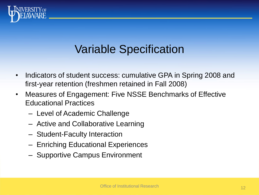

#### Variable Specification

- Indicators of student success: cumulative GPA in Spring 2008 and first-year retention (freshmen retained in Fall 2008)
- Measures of Engagement: Five NSSE Benchmarks of Effective Educational Practices
	- Level of Academic Challenge
	- Active and Collaborative Learning
	- Student-Faculty Interaction
	- Enriching Educational Experiences
	- Supportive Campus Environment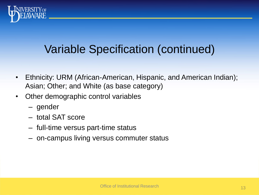

## Variable Specification (continued)

- Ethnicity: URM (African-American, Hispanic, and American Indian); Asian; Other; and White (as base category)
- Other demographic control variables
	- gender
	- total SAT score
	- full-time versus part-time status
	- on-campus living versus commuter status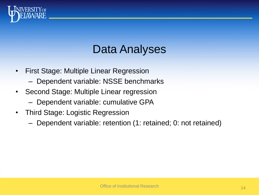

#### Data Analyses

- First Stage: Multiple Linear Regression
	- Dependent variable: NSSE benchmarks
- Second Stage: Multiple Linear regression
	- Dependent variable: cumulative GPA
- Third Stage: Logistic Regression
	- Dependent variable: retention (1: retained; 0: not retained)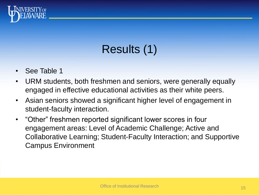

# Results (1)

- See Table 1
- URM students, both freshmen and seniors, were generally equally engaged in effective educational activities as their white peers.
- Asian seniors showed a significant higher level of engagement in student-faculty interaction.
- "Other" freshmen reported significant lower scores in four engagement areas: Level of Academic Challenge; Active and Collaborative Learning; Student-Faculty Interaction; and Supportive Campus Environment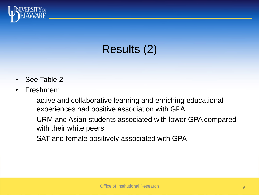

## Results (2)

- See Table 2
- Freshmen:
	- active and collaborative learning and enriching educational experiences had positive association with GPA
	- URM and Asian students associated with lower GPA compared with their white peers
	- SAT and female positively associated with GPA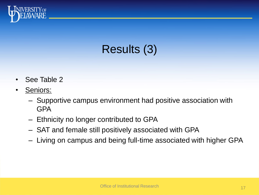

## Results (3)

- See Table 2
- Seniors:
	- Supportive campus environment had positive association with GPA
	- Ethnicity no longer contributed to GPA
	- SAT and female still positively associated with GPA
	- Living on campus and being full-time associated with higher GPA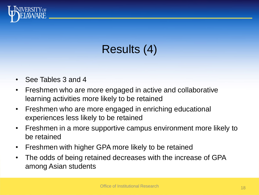

# Results (4)

- See Tables 3 and 4
- Freshmen who are more engaged in active and collaborative learning activities more likely to be retained
- Freshmen who are more engaged in enriching educational experiences less likely to be retained
- Freshmen in a more supportive campus environment more likely to be retained
- Freshmen with higher GPA more likely to be retained
- The odds of being retained decreases with the increase of GPA among Asian students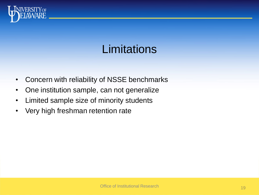

#### **Limitations**

- Concern with reliability of NSSE benchmarks
- One institution sample, can not generalize
- Limited sample size of minority students
- Very high freshman retention rate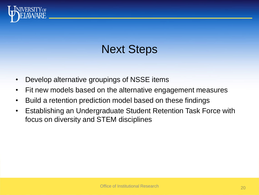

## Next Steps

- Develop alternative groupings of NSSE items
- Fit new models based on the alternative engagement measures
- Build a retention prediction model based on these findings
- Establishing an Undergraduate Student Retention Task Force with focus on diversity and STEM disciplines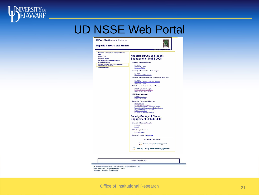

**NIVERSITY OF**<br>**ELAWARE** 



UD Office of Institutional Research - 325 Hullihen Hall - Newark, DE 19716 - USA Phone: 302-831-2021 - E-mail: irp@udel.edu - © 2011 Comments | Contact Us | Legal Notices

Updated: September 2009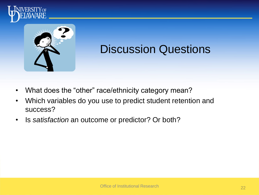



#### Discussion Questions

- What does the "other" race/ethnicity category mean?
- Which variables do you use to predict student retention and success?
- Is *satisfaction* an outcome or predictor? Or both?